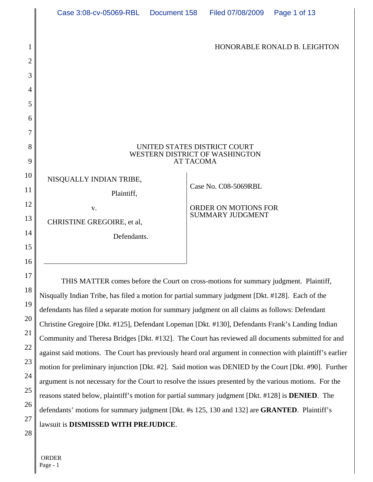|                | Case 3:08-cv-05069-RBL                                                                           | Document 158 | Filed 07/08/2009                                | Page 1 of 13                 |  |
|----------------|--------------------------------------------------------------------------------------------------|--------------|-------------------------------------------------|------------------------------|--|
| 1              |                                                                                                  |              |                                                 | HONORABLE RONALD B. LEIGHTON |  |
| $\overline{2}$ |                                                                                                  |              |                                                 |                              |  |
| 3              |                                                                                                  |              |                                                 |                              |  |
| 4              |                                                                                                  |              |                                                 |                              |  |
| 5              |                                                                                                  |              |                                                 |                              |  |
| 6              |                                                                                                  |              |                                                 |                              |  |
| 7              |                                                                                                  |              |                                                 |                              |  |
| 8              | UNITED STATES DISTRICT COURT<br>WESTERN DISTRICT OF WASHINGTON                                   |              |                                                 |                              |  |
| 9              | <b>AT TACOMA</b>                                                                                 |              |                                                 |                              |  |
| 10<br>11       | NISQUALLY INDIAN TRIBE,<br>Plaintiff,                                                            |              | Case No. C08-5069RBL                            |                              |  |
| 12             | V.                                                                                               |              | ORDER ON MOTIONS FOR<br><b>SUMMARY JUDGMENT</b> |                              |  |
| 13             | CHRISTINE GREGOIRE, et al,                                                                       |              |                                                 |                              |  |
| 14             | Defendants.                                                                                      |              |                                                 |                              |  |
| 15             |                                                                                                  |              |                                                 |                              |  |
| 16             |                                                                                                  |              |                                                 |                              |  |
| 17             | THIS MATTER comes before the Court on cross-motions for summary judgment. Plaintiff,             |              |                                                 |                              |  |
| 18             | Nisqually Indian Tribe, has filed a motion for partial summary judgment [Dkt. #128]. Each of the |              |                                                 |                              |  |
| 19             | defendants has filed a separate motion for summary judgment on all claims as follows: Defendant  |              |                                                 |                              |  |
| 20             |                                                                                                  |              |                                                 |                              |  |

21 22 24 25 26 28 Christine Gregoire [Dkt. #125], Defendant Lopeman [Dkt. #130], Defendants Frank's Landing Indian Community and Theresa Bridges [Dkt. #132]. The Court has reviewed all documents submitted for and against said motions. The Court has previously heard oral argument in connection with plaintiff's earlier motion for preliminary injunction [Dkt. #2]. Said motion was DENIED by the Court [Dkt. #90]. Further argument is not necessary for the Court to resolve the issues presented by the various motions. For the reasons stated below, plaintiff's motion for partial summary judgment [Dkt. #128] is **DENIED**. The defendants' motions for summary judgment [Dkt. #s 125, 130 and 132] are **GRANTED**. Plaintiff's lawsuit is **DISMISSED WITH PREJUDICE**.

 ORDER Page - 1

23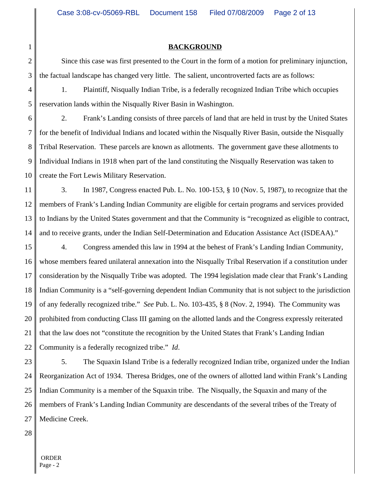#### **BACKGROUND**

Since this case was first presented to the Court in the form of a motion for preliminary injunction, the factual landscape has changed very little. The salient, uncontroverted facts are as follows:

1. Plaintiff, Nisqually Indian Tribe, is a federally recognized Indian Tribe which occupies reservation lands within the Nisqually River Basin in Washington.

6 7 8 9 10 2. Frank's Landing consists of three parcels of land that are held in trust by the United States for the benefit of Individual Indians and located within the Nisqually River Basin, outside the Nisqually Tribal Reservation. These parcels are known as allotments. The government gave these allotments to Individual Indians in 1918 when part of the land constituting the Nisqually Reservation was taken to create the Fort Lewis Military Reservation.

11 12 13 14 3. In 1987, Congress enacted Pub. L. No. 100-153, § 10 (Nov. 5, 1987), to recognize that the members of Frank's Landing Indian Community are eligible for certain programs and services provided to Indians by the United States government and that the Community is "recognized as eligible to contract, and to receive grants, under the Indian Self-Determination and Education Assistance Act (ISDEAA)."

15 16 17 18 19 20 21 22 4. Congress amended this law in 1994 at the behest of Frank's Landing Indian Community, whose members feared unilateral annexation into the Nisqually Tribal Reservation if a constitution under consideration by the Nisqually Tribe was adopted. The 1994 legislation made clear that Frank's Landing Indian Community is a "self-governing dependent Indian Community that is not subject to the jurisdiction of any federally recognized tribe." *See* Pub. L. No. 103-435, § 8 (Nov. 2, 1994). The Community was prohibited from conducting Class III gaming on the allotted lands and the Congress expressly reiterated that the law does not "constitute the recognition by the United States that Frank's Landing Indian Community is a federally recognized tribe." *Id*.

23 24 25 26 27 5. The Squaxin Island Tribe is a federally recognized Indian tribe, organized under the Indian Reorganization Act of 1934. Theresa Bridges, one of the owners of allotted land within Frank's Landing Indian Community is a member of the Squaxin tribe. The Nisqually, the Squaxin and many of the members of Frank's Landing Indian Community are descendants of the several tribes of the Treaty of Medicine Creek.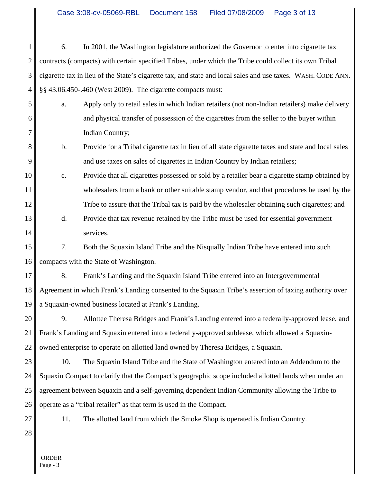1 2 3 4 6. In 2001, the Washington legislature authorized the Governor to enter into cigarette tax contracts (compacts) with certain specified Tribes, under which the Tribe could collect its own Tribal cigarette tax in lieu of the State's cigarette tax, and state and local sales and use taxes. WASH. CODE ANN. §§ 43.06.450-.460 (West 2009). The cigarette compacts must:

- a. Apply only to retail sales in which Indian retailers (not non-Indian retailers) make delivery and physical transfer of possession of the cigarettes from the seller to the buyer within Indian Country;
- b. Provide for a Tribal cigarette tax in lieu of all state cigarette taxes and state and local sales and use taxes on sales of cigarettes in Indian Country by Indian retailers;
- 10 11 12 c. Provide that all cigarettes possessed or sold by a retailer bear a cigarette stamp obtained by wholesalers from a bank or other suitable stamp vendor, and that procedures be used by the Tribe to assure that the Tribal tax is paid by the wholesaler obtaining such cigarettes; and
- 13 14 d. Provide that tax revenue retained by the Tribe must be used for essential government services.

15 16 7. Both the Squaxin Island Tribe and the Nisqually Indian Tribe have entered into such compacts with the State of Washington.

17 18 19 8. Frank's Landing and the Squaxin Island Tribe entered into an Intergovernmental Agreement in which Frank's Landing consented to the Squaxin Tribe's assertion of taxing authority over a Squaxin-owned business located at Frank's Landing.

20 21 22 9. Allottee Theresa Bridges and Frank's Landing entered into a federally-approved lease, and Frank's Landing and Squaxin entered into a federally-approved sublease, which allowed a Squaxinowned enterprise to operate on allotted land owned by Theresa Bridges, a Squaxin.

23 24 25 26 10. The Squaxin Island Tribe and the State of Washington entered into an Addendum to the Squaxin Compact to clarify that the Compact's geographic scope included allotted lands when under an agreement between Squaxin and a self-governing dependent Indian Community allowing the Tribe to operate as a "tribal retailer" as that term is used in the Compact.

27

5

6

7

8

9

11. The allotted land from which the Smoke Shop is operated is Indian Country.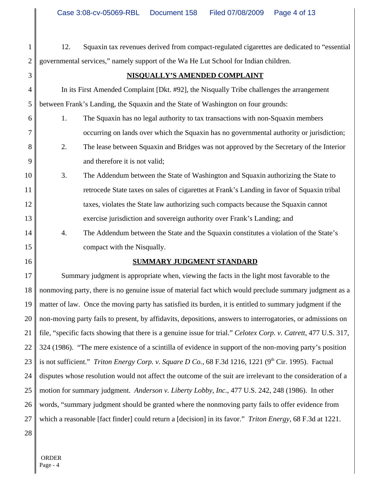12. Squaxin tax revenues derived from compact-regulated cigarettes are dedicated to "essential governmental services," namely support of the Wa He Lut School for Indian children.

3 4

5

8

9

1

2

# **NISQUALLY'S AMENDED COMPLAINT**

In its First Amended Complaint [Dkt. #92], the Nisqually Tribe challenges the arrangement between Frank's Landing, the Squaxin and the State of Washington on four grounds:

- 6 7 1. The Squaxin has no legal authority to tax transactions with non-Squaxin members occurring on lands over which the Squaxin has no governmental authority or jurisdiction;
	- 2. The lease between Squaxin and Bridges was not approved by the Secretary of the Interior and therefore it is not valid;
- 10 11 12 13 3. The Addendum between the State of Washington and Squaxin authorizing the State to retrocede State taxes on sales of cigarettes at Frank's Landing in favor of Squaxin tribal taxes, violates the State law authorizing such compacts because the Squaxin cannot exercise jurisdiction and sovereign authority over Frank's Landing; and
	- 4. The Addendum between the State and the Squaxin constitutes a violation of the State's compact with the Nisqually.
- 16

15

14

# **SUMMARY JUDGMENT STANDARD**

17 18 19 20 21 22 23 24 25 26 27 Summary judgment is appropriate when, viewing the facts in the light most favorable to the nonmoving party, there is no genuine issue of material fact which would preclude summary judgment as a matter of law. Once the moving party has satisfied its burden, it is entitled to summary judgment if the non-moving party fails to present, by affidavits, depositions, answers to interrogatories, or admissions on file, "specific facts showing that there is a genuine issue for trial." *Celotex Corp. v. Catrett*, 477 U.S. 317, 324 (1986). "The mere existence of a scintilla of evidence in support of the non-moving party's position is not sufficient." *Triton Energy Corp. v. Square D Co.*, 68 F.3d 1216, 1221 (9<sup>th</sup> Cir. 1995). Factual disputes whose resolution would not affect the outcome of the suit are irrelevant to the consideration of a motion for summary judgment. *Anderson v. Liberty Lobby, Inc.*, 477 U.S. 242, 248 (1986). In other words, "summary judgment should be granted where the nonmoving party fails to offer evidence from which a reasonable [fact finder] could return a [decision] in its favor." *Triton Energy*, 68 F.3d at 1221.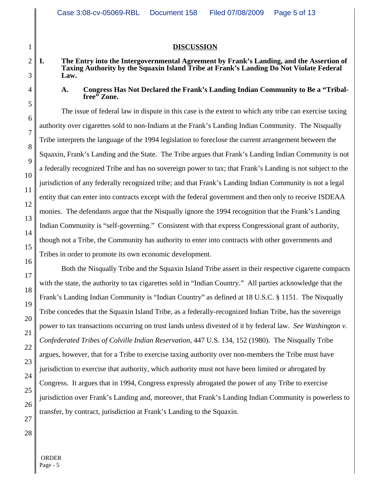## **DISCUSSION**

## **I. The Entry into the Intergovernmental Agreement by Frank's Landing, and the Assertion of Taxing Authority by the Squaxin Island Tribe at Frank's Landing Do Not Violate Federal Law.**

## **A. Congress Has Not Declared the Frank's Landing Indian Community to Be a "Tribalfree" Zone.**

The issue of federal law in dispute in this case is the extent to which any tribe can exercise taxing authority over cigarettes sold to non-Indians at the Frank's Landing Indian Community. The Nisqually Tribe interprets the language of the 1994 legislation to foreclose the current arrangement between the Squaxin, Frank's Landing and the State. The Tribe argues that Frank's Landing Indian Community is not a federally recognized Tribe and has no sovereign power to tax; that Frank's Landing is not subject to the jurisdiction of any federally recognized tribe; and that Frank's Landing Indian Community is not a legal entity that can enter into contracts except with the federal government and then only to receive ISDEAA monies. The defendants argue that the Nisqually ignore the 1994 recognition that the Frank's Landing Indian Community is "self-governing." Consistent with that express Congressional grant of authority, though not a Tribe, the Community has authority to enter into contracts with other governments and Tribes in order to promote its own economic development.

Both the Nisqually Tribe and the Squaxin Island Tribe assert in their respective cigarette compacts with the state, the authority to tax cigarettes sold in "Indian Country." All parties acknowledge that the Frank's Landing Indian Community is "Indian Country" as defined at 18 U.S.C. § 1151. The Nisqually Tribe concedes that the Squaxin Island Tribe, as a federally-recognized Indian Tribe, has the sovereign power to tax transactions occurring on trust lands unless divested of it by federal law. *See Washington v. Confederated Tribes of Colville Indian Reservation*, 447 U.S. 134, 152 (1980). The Nisqually Tribe argues, however, that for a Tribe to exercise taxing authority over non-members the Tribe must have jurisdiction to exercise that authority, which authority must not have been limited or abrogated by Congress. It argues that in 1994, Congress expressly abrogated the power of any Tribe to exercise jurisdiction over Frank's Landing and, moreover, that Frank's Landing Indian Community is powerless to transfer, by contract, jurisdiction at Frank's Landing to the Squaxin.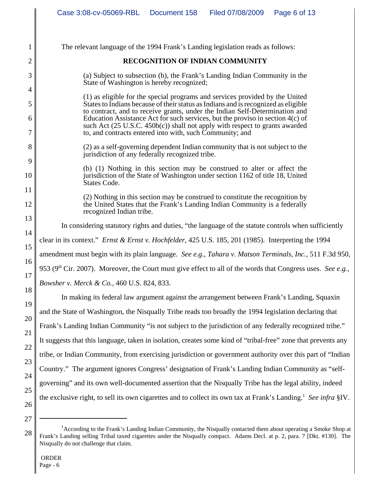| 1      | The relevant language of the 1994 Frank's Landing legislation reads as follows:                                                                                                         |  |  |  |  |
|--------|-----------------------------------------------------------------------------------------------------------------------------------------------------------------------------------------|--|--|--|--|
| 2      | <b>RECOGNITION OF INDIAN COMMUNITY</b>                                                                                                                                                  |  |  |  |  |
| 3      | (a) Subject to subsection (b), the Frank's Landing Indian Community in the<br>State of Washington is hereby recognized;                                                                 |  |  |  |  |
| 4      | (1) as eligible for the special programs and services provided by the United                                                                                                            |  |  |  |  |
| 5      | States to Indians because of their status as Indians and is recognized as eligible<br>to contract, and to receive grants, under the Indian Self-Determination and                       |  |  |  |  |
| 6      | Education Assistance Act for such services, but the proviso in section 4(c) of<br>such Act $(25 \text{ U.S.C. } 450b(c))$ shall not apply with respect to grants awarded                |  |  |  |  |
| 7      | to, and contracts entered into with, such Community; and                                                                                                                                |  |  |  |  |
| 8<br>9 | (2) as a self-governing dependent Indian community that is not subject to the<br>jurisdiction of any federally recognized tribe.                                                        |  |  |  |  |
| 10     | (b) (1) Nothing in this section may be construed to alter or affect the<br>jurisdiction of the State of Washington under section 1162 of title 18, United                               |  |  |  |  |
| 11     | States Code.                                                                                                                                                                            |  |  |  |  |
| 12     | (2) Nothing in this section may be construed to constitute the recognition by<br>the United States that the Frank's Landing Indian Community is a federally<br>recognized Indian tribe. |  |  |  |  |
| 13     |                                                                                                                                                                                         |  |  |  |  |
| 14     | In considering statutory rights and duties, "the language of the statute controls when sufficiently                                                                                     |  |  |  |  |
| 15     | clear in its context." Ernst & Ernst v. Hochfelder, 425 U.S. 185, 201 (1985). Interpreting the 1994                                                                                     |  |  |  |  |
| 16     | amendment must begin with its plain language. See e.g., Tahara v. Matson Terminals, Inc., 511 F.3d 950,                                                                                 |  |  |  |  |
| 17     | 953 (9 <sup>th</sup> Cir. 2007). Moreover, the Court must give effect to all of the words that Congress uses. See e.g.,                                                                 |  |  |  |  |
| 18     | <i>Bowsher v. Merck &amp; Co., 460 U.S. 824, 833.</i>                                                                                                                                   |  |  |  |  |
| 19     | In making its federal law argument against the arrangement between Frank's Landing, Squaxin                                                                                             |  |  |  |  |
| 20     | and the State of Washington, the Nisqually Tribe reads too broadly the 1994 legislation declaring that                                                                                  |  |  |  |  |
| 21     | Frank's Landing Indian Community "is not subject to the jurisdiction of any federally recognized tribe."                                                                                |  |  |  |  |
| 22     | It suggests that this language, taken in isolation, creates some kind of "tribal-free" zone that prevents any                                                                           |  |  |  |  |
| 23     | tribe, or Indian Community, from exercising jurisdiction or government authority over this part of "Indian                                                                              |  |  |  |  |
| 24     | Country." The argument ignores Congress' designation of Frank's Landing Indian Community as "self-                                                                                      |  |  |  |  |
| 25     | governing" and its own well-documented assertion that the Nisqually Tribe has the legal ability, indeed                                                                                 |  |  |  |  |
| 26     | the exclusive right, to sell its own cigarettes and to collect its own tax at Frank's Landing. <sup>1</sup> See infra §IV.                                                              |  |  |  |  |

<sup>28</sup> <sup>1</sup> According to the Frank's Landing Indian Community, the Nisqually contacted them about operating a Smoke Shop at Frank's Landing selling Tribal taxed cigarettes under the Nisqually compact. Adams Decl. at p. 2, para. 7 [Dkt. #130]. The Nisqually do not challenge that claim.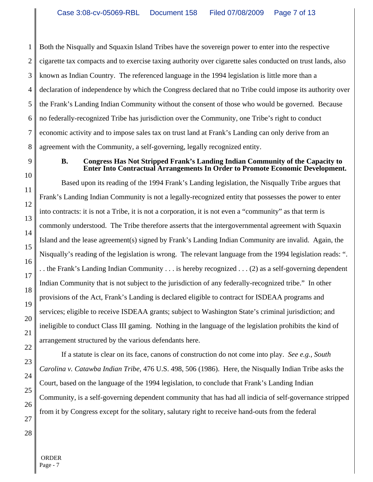1 2 3 4 5 6 7 8 Both the Nisqually and Squaxin Island Tribes have the sovereign power to enter into the respective cigarette tax compacts and to exercise taxing authority over cigarette sales conducted on trust lands, also known as Indian Country. The referenced language in the 1994 legislation is little more than a declaration of independence by which the Congress declared that no Tribe could impose its authority over the Frank's Landing Indian Community without the consent of those who would be governed. Because no federally-recognized Tribe has jurisdiction over the Community, one Tribe's right to conduct economic activity and to impose sales tax on trust land at Frank's Landing can only derive from an agreement with the Community, a self-governing, legally recognized entity.

9

### **B. Congress Has Not Stripped Frank's Landing Indian Community of the Capacity to Enter Into Contractual Arrangements In Order to Promote Economic Development.**

10 11 12 13 14 15 16 17 18 19 20 21 Based upon its reading of the 1994 Frank's Landing legislation, the Nisqually Tribe argues that Frank's Landing Indian Community is not a legally-recognized entity that possesses the power to enter into contracts: it is not a Tribe, it is not a corporation, it is not even a "community" as that term is commonly understood. The Tribe therefore asserts that the intergovernmental agreement with Squaxin Island and the lease agreement(s) signed by Frank's Landing Indian Community are invalid. Again, the Nisqually's reading of the legislation is wrong. The relevant language from the 1994 legislation reads: ". . . the Frank's Landing Indian Community . . . is hereby recognized . . . (2) as a self-governing dependent Indian Community that is not subject to the jurisdiction of any federally-recognized tribe." In other provisions of the Act, Frank's Landing is declared eligible to contract for ISDEAA programs and services; eligible to receive ISDEAA grants; subject to Washington State's criminal jurisdiction; and ineligible to conduct Class III gaming. Nothing in the language of the legislation prohibits the kind of arrangement structured by the various defendants here.

If a statute is clear on its face, canons of construction do not come into play. *See e.g., South Carolina v. Catawba Indian Tribe,* 476 U.S. 498, 506 (1986). Here, the Nisqually Indian Tribe asks the Court, based on the language of the 1994 legislation, to conclude that Frank's Landing Indian Community, is a self-governing dependent community that has had all indicia of self-governance stripped from it by Congress except for the solitary, salutary right to receive hand-outs from the federal

 ORDER Page - 7

22

23

24

25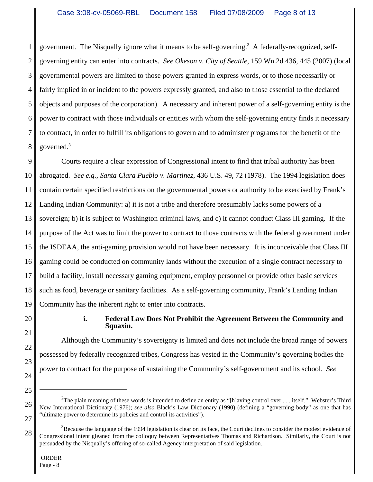1 2 3 4 5 6 7 8 government. The Nisqually ignore what it means to be self-governing.<sup>2</sup> A federally-recognized, selfgoverning entity can enter into contracts. *See Okeson v. City of Seattle*, 159 Wn.2d 436, 445 (2007) (local governmental powers are limited to those powers granted in express words, or to those necessarily or fairly implied in or incident to the powers expressly granted, and also to those essential to the declared objects and purposes of the corporation). A necessary and inherent power of a self-governing entity is the power to contract with those individuals or entities with whom the self-governing entity finds it necessary to contract, in order to fulfill its obligations to govern and to administer programs for the benefit of the governed.3

9 10 11 12 13 14 15 16 17 18 19 Courts require a clear expression of Congressional intent to find that tribal authority has been abrogated. *See e.g.*, *Santa Clara Pueblo v. Martinez*, 436 U.S. 49, 72 (1978). The 1994 legislation does contain certain specified restrictions on the governmental powers or authority to be exercised by Frank's Landing Indian Community: a) it is not a tribe and therefore presumably lacks some powers of a sovereign; b) it is subject to Washington criminal laws, and c) it cannot conduct Class III gaming. If the purpose of the Act was to limit the power to contract to those contracts with the federal government under the ISDEAA, the anti-gaming provision would not have been necessary. It is inconceivable that Class III gaming could be conducted on community lands without the execution of a single contract necessary to build a facility, install necessary gaming equipment, employ personnel or provide other basic services such as food, beverage or sanitary facilities. As a self-governing community, Frank's Landing Indian Community has the inherent right to enter into contracts.

20

21

22

23

24

25

# **i. Federal Law Does Not Prohibit the Agreement Between the Community and Squaxin.**

Although the Community's sovereignty is limited and does not include the broad range of powers possessed by federally recognized tribes, Congress has vested in the Community's governing bodies the power to contract for the purpose of sustaining the Community's self-government and its school. *See*

<sup>26</sup> 27 <sup>2</sup>The plain meaning of these words is intended to define an entity as "[h]aving control over . . . itself." Webster's Third New International Dictionary (1976); *see also* Black's Law Dictionary (1990) (defining a "governing body" as one that has "ultimate power to determine its policies and control its activities").

<sup>28</sup>  $3$ Because the language of the 1994 legislation is clear on its face, the Court declines to consider the modest evidence of Congressional intent gleaned from the colloquy between Representatives Thomas and Richardson. Similarly, the Court is not persuaded by the Nisqually's offering of so-called Agency interpretation of said legislation.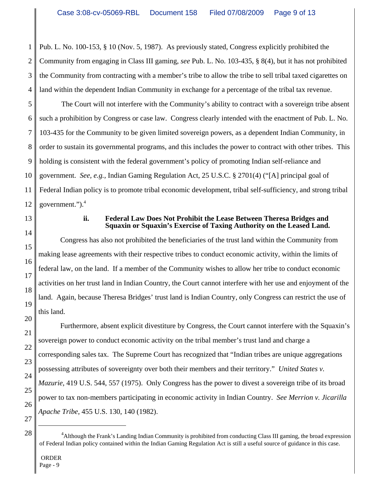1 2 3 4 Pub. L. No. 100-153, § 10 (Nov. 5, 1987). As previously stated, Congress explicitly prohibited the Community from engaging in Class III gaming, *see* Pub. L. No. 103-435, § 8(4), but it has not prohibited the Community from contracting with a member's tribe to allow the tribe to sell tribal taxed cigarettes on land within the dependent Indian Community in exchange for a percentage of the tribal tax revenue.

5 6 7 8 9 10 11 12 The Court will not interfere with the Community's ability to contract with a sovereign tribe absent such a prohibition by Congress or case law. Congress clearly intended with the enactment of Pub. L. No. 103-435 for the Community to be given limited sovereign powers, as a dependent Indian Community, in order to sustain its governmental programs, and this includes the power to contract with other tribes. This holding is consistent with the federal government's policy of promoting Indian self-reliance and government. *See, e.g.,* Indian Gaming Regulation Act, 25 U.S.C. § 2701(4) ("[A] principal goal of Federal Indian policy is to promote tribal economic development, tribal self-sufficiency, and strong tribal government.").4

13

14

15

16

17

18

19

20

21

22

23

24

25

26

27

# **ii. Federal Law Does Not Prohibit the Lease Between Theresa Bridges and Squaxin or Squaxin's Exercise of Taxing Authority on the Leased Land.**

Congress has also not prohibited the beneficiaries of the trust land within the Community from making lease agreements with their respective tribes to conduct economic activity, within the limits of federal law, on the land. If a member of the Community wishes to allow her tribe to conduct economic activities on her trust land in Indian Country, the Court cannot interfere with her use and enjoyment of the land. Again, because Theresa Bridges' trust land is Indian Country, only Congress can restrict the use of this land.

Furthermore, absent explicit divestiture by Congress, the Court cannot interfere with the Squaxin's sovereign power to conduct economic activity on the tribal member's trust land and charge a corresponding sales tax. The Supreme Court has recognized that "Indian tribes are unique aggregations possessing attributes of sovereignty over both their members and their territory." *United States v. Mazurie*, 419 U.S. 544, 557 (1975). Only Congress has the power to divest a sovereign tribe of its broad power to tax non-members participating in economic activity in Indian Country. *See Merrion v. Jicarilla Apache Tribe*, 455 U.S. 130, 140 (1982).

ORDER

<sup>28</sup> <sup>4</sup> Although the Frank's Landing Indian Community is prohibited from conducting Class III gaming, the broad expression of Federal Indian policy contained within the Indian Gaming Regulation Act is still a useful source of guidance in this case.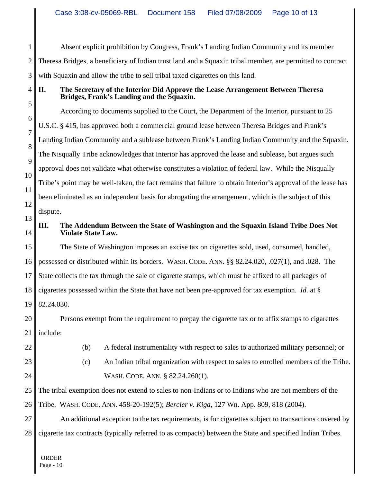1 2 3 Absent explicit prohibition by Congress, Frank's Landing Indian Community and its member Theresa Bridges, a beneficiary of Indian trust land and a Squaxin tribal member, are permitted to contract with Squaxin and allow the tribe to sell tribal taxed cigarettes on this land.

4

# **II. The Secretary of the Interior Did Approve the Lease Arrangement Between Theresa Bridges, Frank's Landing and the Squaxin.**

5 6 7 8 9 10 11 12 According to documents supplied to the Court, the Department of the Interior, pursuant to 25 U.S.C. § 415, has approved both a commercial ground lease between Theresa Bridges and Frank's Landing Indian Community and a sublease between Frank's Landing Indian Community and the Squaxin. The Nisqually Tribe acknowledges that Interior has approved the lease and sublease, but argues such approval does not validate what otherwise constitutes a violation of federal law. While the Nisqually Tribe's point may be well-taken, the fact remains that failure to obtain Interior's approval of the lease has been eliminated as an independent basis for abrogating the arrangement, which is the subject of this dispute.

#### 13 14 **III. The Addendum Between the State of Washington and the Squaxin Island Tribe Does Not Violate State Law.**

15 16 17 18 19 The State of Washington imposes an excise tax on cigarettes sold, used, consumed, handled, possessed or distributed within its borders. WASH. CODE. ANN. §§ 82.24.020, .027(1), and .028. The State collects the tax through the sale of cigarette stamps, which must be affixed to all packages of cigarettes possessed within the State that have not been pre-approved for tax exemption. *Id.* at § 82.24.030.

20 21 Persons exempt from the requirement to prepay the cigarette tax or to affix stamps to cigarettes include:

22

(b) A federal instrumentality with respect to sales to authorized military personnel; or

- 23 24
- 
- (c) An Indian tribal organization with respect to sales to enrolled members of the Tribe. WASH. CODE. ANN. § 82.24.260(1).

25 26 The tribal exemption does not extend to sales to non-Indians or to Indians who are not members of the Tribe. WASH. CODE. ANN. 458-20-192(5); *Bercier v. Kiga*, 127 Wn. App. 809, 818 (2004).

27 28 An additional exception to the tax requirements, is for cigarettes subject to transactions covered by cigarette tax contracts (typically referred to as compacts) between the State and specified Indian Tribes.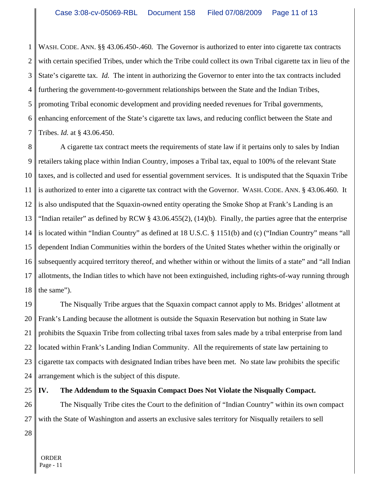1 2 3 4 5 6 7 WASH. CODE. ANN. §§ 43.06.450-.460*.* The Governor is authorized to enter into cigarette tax contracts with certain specified Tribes, under which the Tribe could collect its own Tribal cigarette tax in lieu of the State's cigarette tax*. Id.* The intent in authorizing the Governor to enter into the tax contracts included furthering the government-to-government relationships between the State and the Indian Tribes, promoting Tribal economic development and providing needed revenues for Tribal governments, enhancing enforcement of the State's cigarette tax laws, and reducing conflict between the State and Tribes. *Id.* at § 43.06.450.

8 9 10 11 12 13 14 15 16 17 18 A cigarette tax contract meets the requirements of state law if it pertains only to sales by Indian retailers taking place within Indian Country, imposes a Tribal tax, equal to 100% of the relevant State taxes, and is collected and used for essential government services. It is undisputed that the Squaxin Tribe is authorized to enter into a cigarette tax contract with the Governor. WASH. CODE. ANN. § 43.06.460. It is also undisputed that the Squaxin-owned entity operating the Smoke Shop at Frank's Landing is an "Indian retailer" as defined by RCW  $\S$  43.06.455(2), (14)(b). Finally, the parties agree that the enterprise is located within "Indian Country" as defined at 18 U.S.C. § 1151(b) and (c) ("Indian Country" means "all dependent Indian Communities within the borders of the United States whether within the originally or subsequently acquired territory thereof, and whether within or without the limits of a state" and "all Indian allotments, the Indian titles to which have not been extinguished, including rights-of-way running through the same").

19 20 21 22 23 24 The Nisqually Tribe argues that the Squaxin compact cannot apply to Ms. Bridges' allotment at Frank's Landing because the allotment is outside the Squaxin Reservation but nothing in State law prohibits the Squaxin Tribe from collecting tribal taxes from sales made by a tribal enterprise from land located within Frank's Landing Indian Community. All the requirements of state law pertaining to cigarette tax compacts with designated Indian tribes have been met. No state law prohibits the specific arrangement which is the subject of this dispute.

25

# **IV. The Addendum to the Squaxin Compact Does Not Violate the Nisqually Compact.**

26 27 The Nisqually Tribe cites the Court to the definition of "Indian Country" within its own compact with the State of Washington and asserts an exclusive sales territory for Nisqually retailers to sell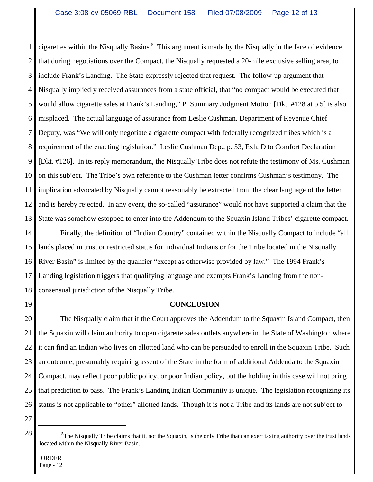1 2 3 4 5 6 7 8 9 10 11 12 13 cigarettes within the Nisqually Basins.<sup>5</sup> This argument is made by the Nisqually in the face of evidence that during negotiations over the Compact, the Nisqually requested a 20-mile exclusive selling area, to include Frank's Landing. The State expressly rejected that request. The follow-up argument that Nisqually impliedly received assurances from a state official, that "no compact would be executed that would allow cigarette sales at Frank's Landing," P. Summary Judgment Motion [Dkt. #128 at p.5] is also misplaced. The actual language of assurance from Leslie Cushman, Department of Revenue Chief Deputy, was "We will only negotiate a cigarette compact with federally recognized tribes which is a requirement of the enacting legislation." Leslie Cushman Dep., p. 53, Exh. D to Comfort Declaration [Dkt. #126]. In its reply memorandum, the Nisqually Tribe does not refute the testimony of Ms. Cushman on this subject. The Tribe's own reference to the Cushman letter confirms Cushman's testimony. The implication advocated by Nisqually cannot reasonably be extracted from the clear language of the letter and is hereby rejected. In any event, the so-called "assurance" would not have supported a claim that the State was somehow estopped to enter into the Addendum to the Squaxin Island Tribes' cigarette compact.

14 15 16 17 18 Finally, the definition of "Indian Country" contained within the Nisqually Compact to include "all lands placed in trust or restricted status for individual Indians or for the Tribe located in the Nisqually River Basin" is limited by the qualifier "except as otherwise provided by law." The 1994 Frank's Landing legislation triggers that qualifying language and exempts Frank's Landing from the nonconsensual jurisdiction of the Nisqually Tribe.

19

# **CONCLUSION**

20 21 22 23 24 25 26 The Nisqually claim that if the Court approves the Addendum to the Squaxin Island Compact, then the Squaxin will claim authority to open cigarette sales outlets anywhere in the State of Washington where it can find an Indian who lives on allotted land who can be persuaded to enroll in the Squaxin Tribe. Such an outcome, presumably requiring assent of the State in the form of additional Addenda to the Squaxin Compact, may reflect poor public policy, or poor Indian policy, but the holding in this case will not bring that prediction to pass. The Frank's Landing Indian Community is unique. The legislation recognizing its status is not applicable to "other" allotted lands. Though it is not a Tribe and its lands are not subject to

27

 ${}^{5}$ The Nisqually Tribe claims that it, not the Squaxin, is the only Tribe that can exert taxing authority over the trust lands located within the Nisqually River Basin.